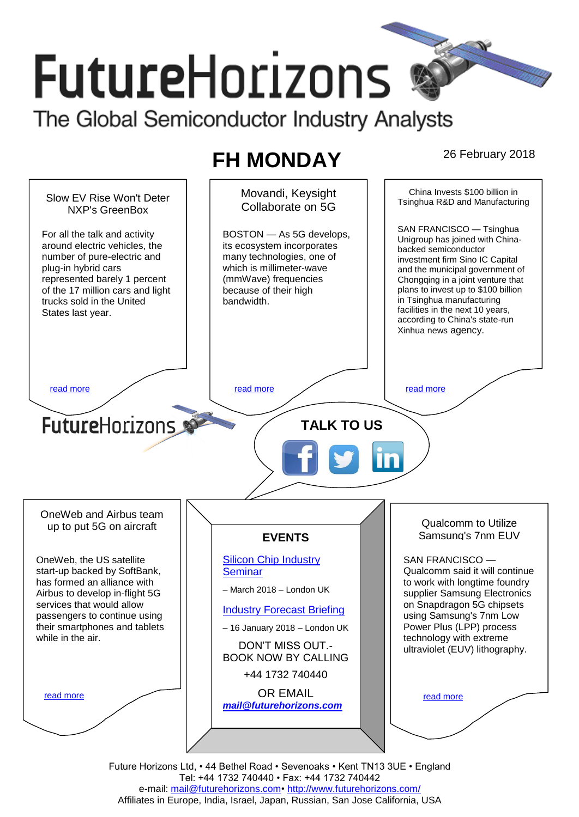# **FutureHorizons** The Global Semiconductor Industry Analysts

## **FH MONDAY** 26 February 2018



Tel: +44 1732 740440 • Fax: +44 1732 740442 e-mail: mail@futurehorizons.com• http://www.futurehorizons.com/ Affiliates in Europe, India, Israel, Japan, Russian, San Jose California, USA